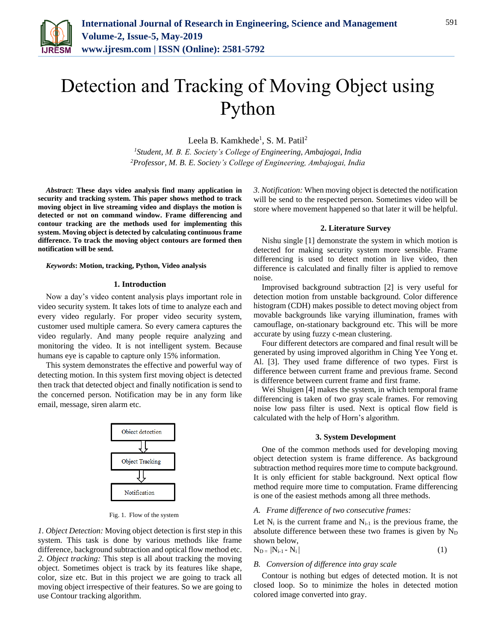

# Detection and Tracking of Moving Object using Python

Leela B. Kamkhede<sup>1</sup>, S. M. Patil<sup>2</sup>

*<sup>1</sup>Student, M. B. E. Society's College of Engineering, Ambajogai, India 2Professor, M. B. E. Society's College of Engineering, Ambajogai, India*

*Abstract***: These days video analysis find many application in security and tracking system. This paper shows method to track moving object in live streaming video and displays the motion is detected or not on command window. Frame differencing and contour tracking are the methods used for implementing this system. Moving object is detected by calculating continuous frame difference. To track the moving object contours are formed then notification will be send.**

*Keywords***: Motion, tracking, Python, Video analysis**

#### **1. Introduction**

Now a day's video content analysis plays important role in video security system. It takes lots of time to analyze each and every video regularly. For proper video security system, customer used multiple camera. So every camera captures the video regularly. And many people require analyzing and monitoring the video. It is not intelligent system. Because humans eye is capable to capture only 15% information.

This system demonstrates the effective and powerful way of detecting motion. In this system first moving object is detected then track that detected object and finally notification is send to the concerned person. Notification may be in any form like email, message, siren alarm etc.



Fig. 1. Flow of the system

*1. Object Detection:* Moving object detection is first step in this system. This task is done by various methods like frame difference, background subtraction and optical flow method etc. *2. Object tracking:* This step is all about tracking the moving object. Sometimes object is track by its features like shape, color, size etc. But in this project we are going to track all moving object irrespective of their features. So we are going to use Contour tracking algorithm.

*3. Notification:* When moving object is detected the notification will be send to the respected person. Sometimes video will be store where movement happened so that later it will be helpful.

#### **2. Literature Survey**

Nishu single [1] demonstrate the system in which motion is detected for making security system more sensible. Frame differencing is used to detect motion in live video, then difference is calculated and finally filter is applied to remove noise.

Improvised background subtraction [2] is very useful for detection motion from unstable background. Color difference histogram (CDH) makes possible to detect moving object from movable backgrounds like varying illumination, frames with camouflage, on-stationary background etc. This will be more accurate by using fuzzy c-mean clustering.

Four different detectors are compared and final result will be generated by using improved algorithm in Ching Yee Yong et. Al. [3]. They used frame difference of two types. First is difference between current frame and previous frame. Second is difference between current frame and first frame.

Wei Shuigen [4] makes the system, in which temporal frame differencing is taken of two gray scale frames. For removing noise low pass filter is used. Next is optical flow field is calculated with the help of Horn's algorithm.

#### **3. System Development**

One of the common methods used for developing moving object detection system is frame difference. As background subtraction method requires more time to compute background. It is only efficient for stable background. Next optical flow method require more time to computation. Frame differencing is one of the easiest methods among all three methods.

### *A. Frame difference of two consecutive frames:*

Let  $N_i$  is the current frame and  $N_{i-1}$  is the previous frame, the absolute difference between these two frames is given by  $N_D$ shown below,

$$
N_{D} = |N_{i-1} - N_i|
$$
 (1)

#### *B. Conversion of difference into gray scale*

Contour is nothing but edges of detected motion. It is not closed loop. So to minimize the holes in detected motion colored image converted into gray.